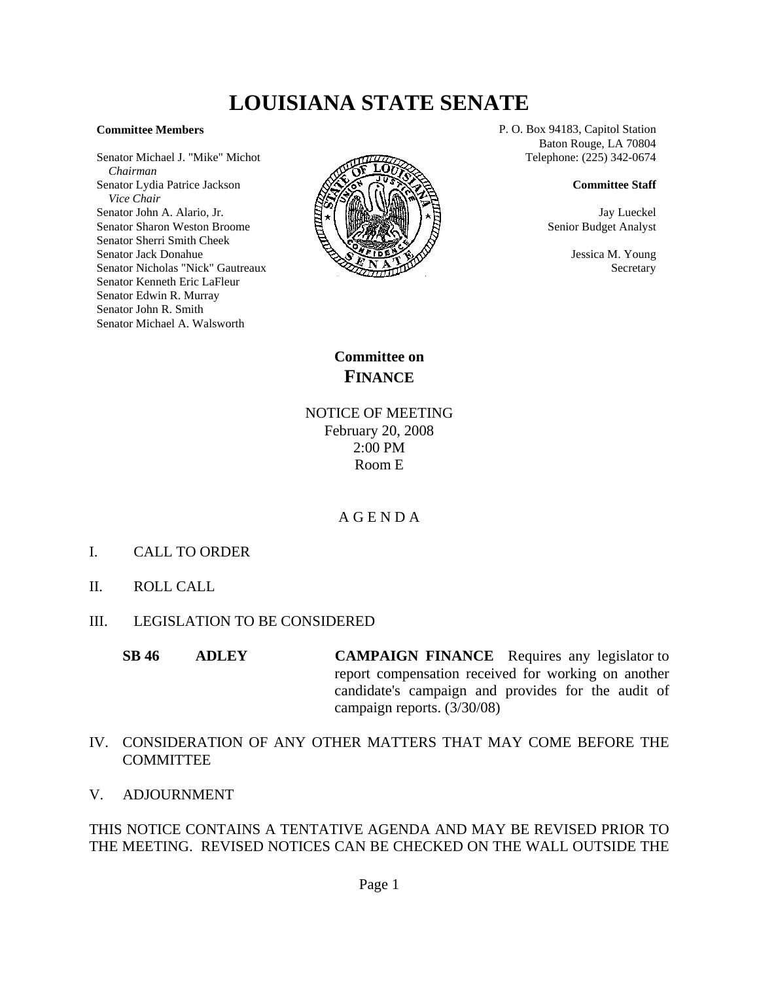## **LOUISIANA STATE SENATE**

## **Committee Members**

Senator Michael J. "Mike" Michot  *Chairman* Senator Lydia Patrice Jackson  *Vice Chair* Senator John A. Alario, Jr. Senator Sharon Weston Broome Senator Sherri Smith Cheek Senator Jack Donahue Senator Nicholas "Nick" Gautreaux Senator Kenneth Eric LaFleur Senator Edwin R. Murray Senator John R. Smith Senator Michael A. Walsworth



P. O. Box 94183, Capitol Station Baton Rouge, LA 70804 Telephone: (225) 342-0674

**Committee Staff**

Jay Lueckel Senior Budget Analyst

> Jessica M. Young Secretary

**Committee on FINANCE**

NOTICE OF MEETING February 20, 2008 2:00 PM Room E

## A G E N D A

- I. CALL TO ORDER
- II. ROLL CALL
- III. LEGISLATION TO BE CONSIDERED
	- **SB 46** ADLEY **CAMPAIGN FINANCE** Requires any legislator to report compensation received for working on another candidate's campaign and provides for the audit of campaign reports. (3/30/08)
- IV. CONSIDERATION OF ANY OTHER MATTERS THAT MAY COME BEFORE THE COMMITTEE
- V. ADJOURNMENT

THIS NOTICE CONTAINS A TENTATIVE AGENDA AND MAY BE REVISED PRIOR TO THE MEETING. REVISED NOTICES CAN BE CHECKED ON THE WALL OUTSIDE THE